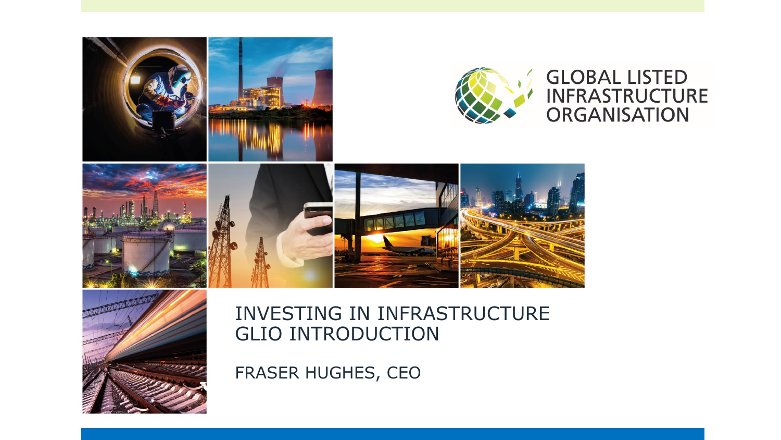



#### INVESTING IN INFRASTRUCTURE GLIO INTRODUCTION

FRASER HUGHES, CEO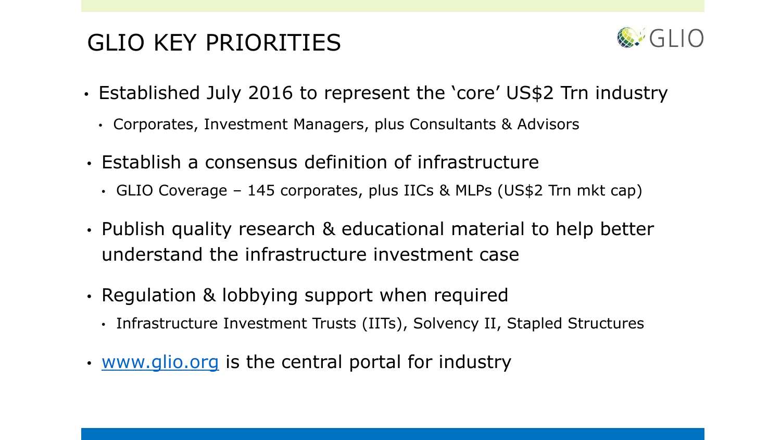# GLIO KEY PRIORITIES



- Established July 2016 to represent the 'core' US\$2 Trn industry
	- Corporates, Investment Managers, plus Consultants & Advisors
- Establish a consensus definition of infrastructure
	- GLIO Coverage 145 corporates, plus IICs & MLPs (US\$2 Trn mkt cap)
- Publish quality research & educational material to help better understand the infrastructure investment case
- Regulation & lobbying support when required
	- Infrastructure Investment Trusts (IITs), Solvency II, Stapled Structures
- [www.glio.org](http://www.glio.org/) is the central portal for industry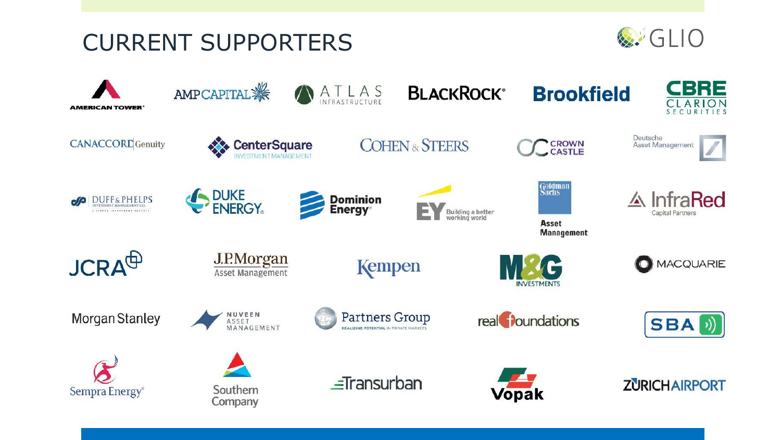



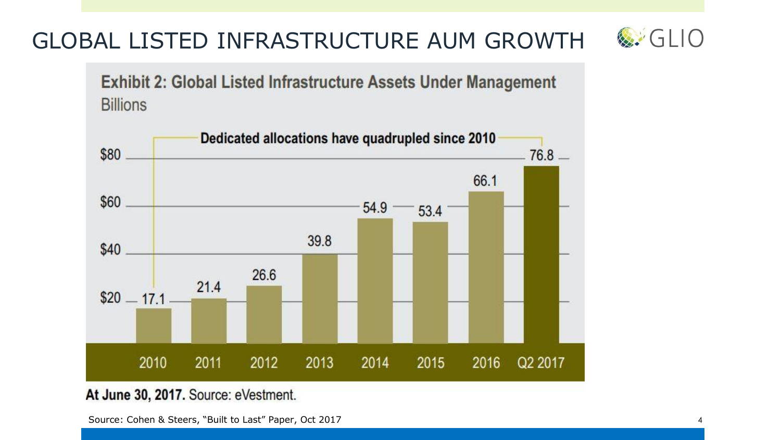#### 26.6

At June 30, 2017. Source: eVestment.

Source: Cohen & Steers, "Built to Last" Paper, Oct 2017 4





**Exhibit 2: Global Listed Infrastructure Assets Under Management Billions** 

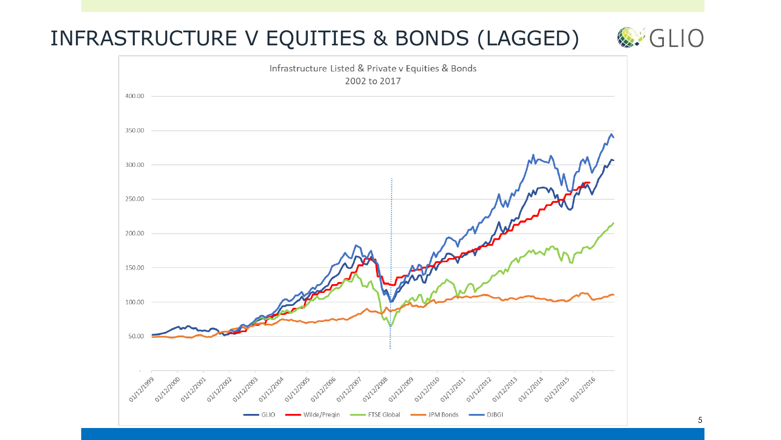# INFRASTRUCTURE V EQUITIES & BONDS (LAGGED)  $\&$  GLIO

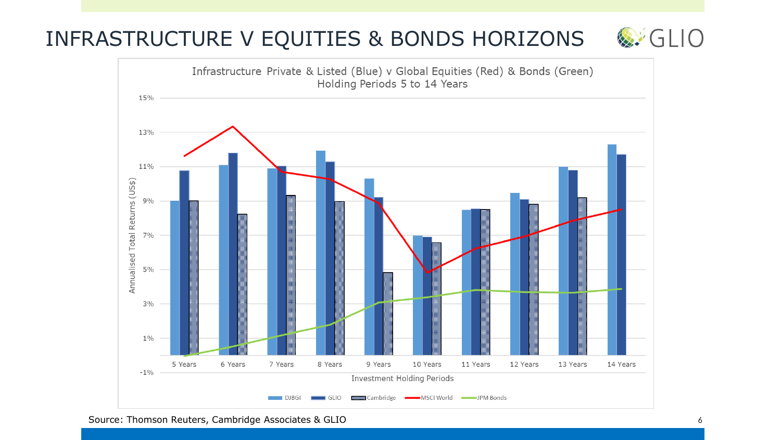## INFRASTRUCTURE V EQUITIES & BONDS HORIZONS & GLIO

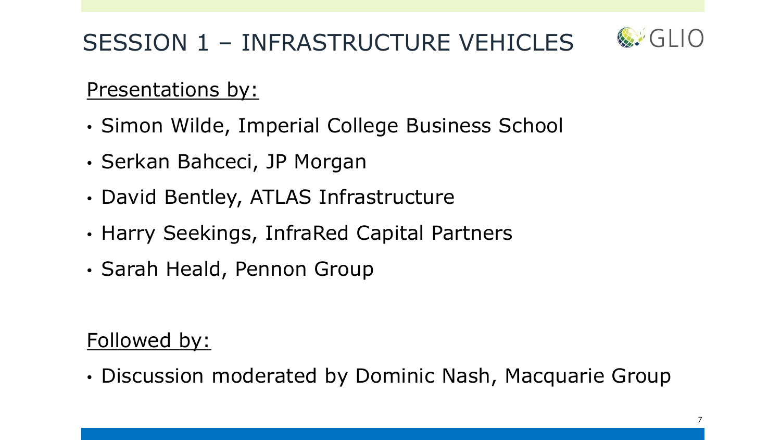# SESSION 1 – INFRASTRUCTURE VEHICLES



### Presentations by:

- Simon Wilde, Imperial College Business School
- Serkan Bahceci, JP Morgan
- David Bentley, ATLAS Infrastructure
- Harry Seekings, InfraRed Capital Partners
- Sarah Heald, Pennon Group

## Followed by:

• Discussion moderated by Dominic Nash, Macquarie Group